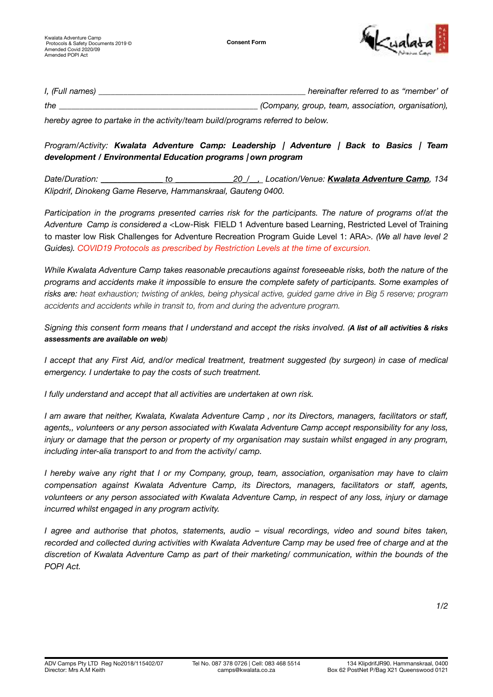

| I, (Full names) | hereinafter referred to as "member" of             |
|-----------------|----------------------------------------------------|
| the             | (Company, group, team, association, organisation), |

*hereby agree to partake in the activity/team build/programs referred to below.* 

## *Program/Activity: Kwalata Adventure Camp: Leadership | Adventure | Back to Basics | Team development / Environmental Education programs | own program*

*Date/Duration: \_\_\_\_\_\_\_\_\_\_\_\_\_\_\_ to \_\_\_\_\_\_\_\_\_\_\_\_\_\_20\_/\_\_, Location/Venue: Kwalata Adventure Camp, 134 Klipdrif, Dinokeng Game Reserve, Hammanskraal, Gauteng 0400.* 

*Participation in the programs presented carries risk for the participants. The nature of programs of/at the Adventure Camp is considered a <*Low-Risk FIELD 1 Adventure based Learning, Restricted Level of Training to master low Risk Challenges for Adventure Recreation Program Guide Level 1: ARA*>. (We all have level 2 Guides). COVID19 Protocols as prescribed by Restriction Levels at the time of excursion.*

*While Kwalata Adventure Camp takes reasonable precautions against foreseeable risks, both the nature of the programs and accidents make it impossible to ensure the complete safety of participants. Some examples of risks are: heat exhaustion; twisting of ankles, being physical active, guided game drive in Big 5 reserve; program accidents and accidents while in transit to, from and during the adventure program.*

*Signing this consent form means that I understand and accept the risks involved. (A list of all activities & risks assessments are available on web)* 

*I accept that any First Aid, and/or medical treatment, treatment suggested (by surgeon) in case of medical emergency. I undertake to pay the costs of such treatment.* 

*I fully understand and accept that all activities are undertaken at own risk.* 

*I am aware that neither, Kwalata, Kwalata Adventure Camp , nor its Directors, managers, facilitators or staff, agents,, volunteers or any person associated with Kwalata Adventure Camp accept responsibility for any loss, injury or damage that the person or property of my organisation may sustain whilst engaged in any program, including inter-alia transport to and from the activity/ camp.* 

*I hereby waive any right that I or my Company, group, team, association, organisation may have to claim compensation against Kwalata Adventure Camp, its Directors, managers, facilitators or staff, agents, volunteers or any person associated with Kwalata Adventure Camp, in respect of any loss, injury or damage incurred whilst engaged in any program activity.* 

*I agree and authorise that photos, statements, audio – visual recordings, video and sound bites taken, recorded and collected during activities with Kwalata Adventure Camp may be used free of charge and at the discretion of Kwalata Adventure Camp as part of their marketing/ communication, within the bounds of the POPI Act.*